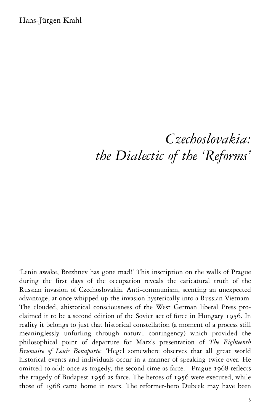Hans-Jürgen Krahl

# *Czechoslovakia: the Dialectic of the 'Reforms'*

'Lenin awake, Brezhnev has gone mad!' This inscription on the walls of Prague during the first days of the occupation reveals the caricatural truth of the Russian invasion of Czechoslovakia. Anti-communism, scenting an unexpected advantage, at once whipped up the invasion hysterically into a Russian Vietnam. The clouded, ahistorical consciousness of the West German liberal Press proclaimed it to be a second edition of the Soviet act of force in Hungary 1956. In reality it belongs to just that historical constellation (a moment of a process still meaninglessly unfurling through natural contingency) which provided the philosophical point of departure for Marx's presentation of *The Eighteenth Brumaire of Louis Bonaparte*: 'Hegel somewhere observes that all great world historical events and individuals occur in a manner of speaking twice over. He omitted to add: once as tragedy, the second time as farce.'<sup>1</sup> Prague 1968 reflects the tragedy of Budapest 1956 as farce. The heroes of 1956 were executed, while those of 1968 came home in tears. The reformer-hero Dubcek may have been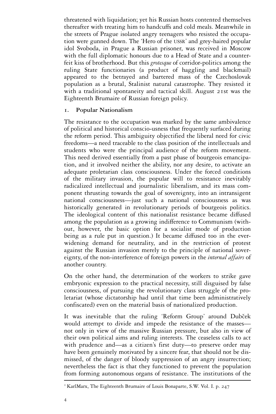threatened with liquidation; yet his Russian hosts contented themselves thereafter with treating him to handcuffs and cold meals. Meanwhile in the streets of Prague isolated angry teenagers who resisted the occupation were gunned down. The 'Hero of the USSR' and grey-haired popular idol Svoboda, in Prague a Russian prisoner, was received in Moscow with the full diplomatic honours due to a Head of State and a counterfeit kiss of brotherhood. But this *grotesque* of corridor-politics among the ruling State functionaries (a product of haggling and blackmail) appeared to the betrayed and bartered mass of the Czechoslovak population as a brutal, Stalinist natural catastrophe. They resisted it with a traditional spontaneity and tactical skill. August 21st was the Eighteenth Brumaire of Russian foreign policy.

### **1. Popular Nationalism**

The resistance to the occupation was marked by the same ambivalence of political and historical conscio-usness that frequently surfaced during the reform period. This ambiguity objectified the liberal need for civic freedoms—a need traceable to the class position of the intellectuals and students who were the principal audience of the reform movement. This need derived essentially from a past phase of bourgeois emancipation, and it involved neither the ability, nor any desire, to activate an adequate proletarian class consciousness. Under the forced conditions of the military invasion, the popular will to resistance inevitably radicalized intellectual and journalistic liberalism, and its mass component thrusting towards the goal of sovereignty, into an intransigent national consciousness—just such a national consciousness as was historically generated in revolutionary periods of bourgeois politics. The ideological content of this nationalist resistance became diffused among the population as a growing indifference to Communism (without, however, the basic option for a socialist mode of production being as a rule put in question.) It became diffused too in the everwidening demand for neutrality, and in the restriction of protest against the Russian invasion merely to the principle of national sovereignty, of the non-interference of foreign powers in the *internal affairs* of another country.

On the other hand, the determination of the workers to strike gave embryonic expression to the practical necessity, still disguised by false consciousness, of pursuing the revolutionary class struggle of the proletariat (whose dictatorship had until that time been administratively confiscated) even on the material basis of nationalized production.

It was inevitable that the ruling 'Reform Group' around Dubček would attempt to divide and impede the resistance of the masses not only in view of the massive Russian pressure, but also in view of their own political aims and ruling interests. The ceaseless calls to act with prudence and—as a citizen's first duty—to preserve order may have been genuinely motivated by a sincere fear, that should not be dismissed, of the danger of bloody suppression of an angry insurrection; nevertheless the fact is that they functioned to prevent the population from forming autonomous organs of resistance. The institutions of the

<sup>&</sup>lt;sup>1</sup> KarlMarx, The Eighteenth Brumaire of Louis Bonaparte, S.W. Vol. I. p. 247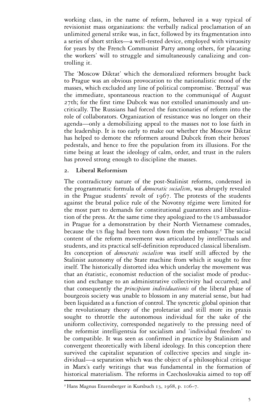working class, in the name of reform, behaved in a way typical of revisionist mass organizations: the verbally radical proclamation of an unlimited general strike was, in fact, followed by its fragmentation into a series of short strikes—a well-tested device, employed with virtuosity for years by the French Communist Party among others, for placating the workers' will to struggle and simultaneously canalizing and controlling it.

The 'Moscow Diktat' which the demoralized reformers brought back to Prague was an obvious provocation to the nationalistic mood of the masses, which excluded any line of political compromise. 'Betrayal' was the immediate, spontaneous reaction to the communiqué of August 27th; for the first time Dubcek was not extolled unanimously and uncritically. The Russians had forced the functionaries of reform into the role of collaborators. Organization of resistance was no longer on their agenda—only a demobilizing appeal to the masses not to lose faith in the leadership. It is too early to make out whether the Moscow Diktat has helped to demote the reformers around Dubcek from their heroes' pedestals, and hence to free the population from its illusions. For the time being at least the ideology of calm, order, and trust in the rulers has proved strong enough to discipline the masses.

## **2. Liberal Reformism**

The contradictory nature of the post-Stalinist reforms, condensed in the programmatic formula of *democratic socialism*, was abruptly revealed in the Prague students' revolt of 1967. The protests of the students against the brutal police rule of the Novotny régime were limited for the most part to demands for constitutional guarantees and liberalization of the press. At the same time they apologized to the US ambassador in Prague for a demonstration by their North Vietnamese comrades, because the US flag had been torn down from the embassy.<sup>2</sup> The social content of the reform movement was articulated by intellectuals and students, and its practical self-definition reproduced classical liberalism. Its conception of *democratic socialism* was itself still affected by the Stalinist autonomy of the State machine from which it sought to free itself. The historically distorted idea which underlay the movement was that an étatistic, economist reduction of the socialist mode of production and exchange to an administrative collectivity had occurred; and that consequently the *principium individuationis* of the liberal phase of bourgeois society was unable to blossom in any material sense, but had been liquidated as a function of control. The syncretic global opinion that the revolutionary theory of the proletariat and still more its praxis sought to throttle the autonomous individual for the sake of the uniform collectivity, corresponded negatively to the pressing need of the reformist intelligentsia for socialism and 'individual freedom' to be compatible. It was seen as confirmed in practice by Stalinism and convergent theoretically with liberal ideology. In this conception there survived the capitalist separation of collective species and single individual—a separation which was the object of a philosophical critique in Marx's early writings that was fundamental in the formation of historical materialism. The reforms in Czechoslovakia aimed to top off

<sup>2</sup> Hans Magnus Enzensberger in Kursbuch 13, 1968, p. 106–7.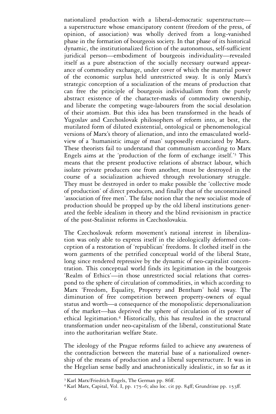nationalized production with a liberal-democratic superstructure a superstructure whose emancipatory content (freedom of the press, of opinion, of association) was wholly derived from a long-vanished phase in the formation of bourgeois society. In that phase of its historical dynamic, the institutionalized fiction of the autonomous, self-sufficient juridical person—embodiment of bourgeois individuality—revealed itself as a pure abstraction of the socially necessary outward appearance of commodity exchange, under cover of which the material power of the economic surplus held unrestricted sway. It is only Marx's strategic conception of a socialization of the means of production that can free the principle of bourgeois individualism from the purely abstract existence of the character-masks of commodity ownership, and liberate the competing wage-labourers from the social desolation of their atomism. But this idea has been transformed in the heads of Yugoslav and Czechoslovak philosophers of reform into, at best, the mutilated form of diluted existential, ontological or phenomenological versions of Marx's theory of alienation, and into the emasculated worldview of a 'humanistic image of man' supposedly enunciated by Marx. These theorists fail to understand that communism according to Marx Engels aims at the 'production of the form of exchange itself.'<sup>3</sup> This means that the present productive relations of abstract labour, which isolate private producers one from another, must be destroyed in the course of a socialization achieved through revolutionary struggle. They must be destroyed in order to make possible the 'collective mode of production' of direct producers, and finally that of the unconstrained 'association of free men'. The false notion that the new socialist mode of production should be propped up by the old liberal institutions generated the feeble idealism in theory and the blind revisionism in practice of the post-Stalinist reforms in Czechoslovakia.

The Czechoslovak reform movement's rational interest in liberalization was only able to express itself in the ideologically deformed conception of a restoration of 'republican' freedoms. It clothed itself in the worn garments of the petrified conceptual world of the liberal State, long since rendered repressive by the dynamic of neo-capitalist concentration. This conceptual world finds its legitimation in the bourgeois 'Realm of Ethics'—in those unrestricted social relations that correspond to the sphere of circulation of commodities, in which according to Marx 'Freedom, Equality, Property and Bentham' hold sway. The diminution of free competition between property-owners of equal status and worth—a consequence of the monopolistic depersonalization of the market—has deprived the sphere of circulation of its power of ethical legitimation.<sup>4</sup> Historically, this has resulted in the structural transformation under neo-capitalism of the liberal, constitutional State into the authoritarian welfare State.

The ideology of the Prague reforms failed to achieve any awareness of the contradiction between the material base of a nationalized ownership of the means of production and a liberal superstructure. It was in the Hegelian sense badly and anachronistically idealistic, in so far as it

<sup>&</sup>lt;sup>3</sup> Karl Marx/Friedrich Engels, The German pp. 86ff.<br><sup>4</sup> Karl Marx, Capital, Vol. I, pp. 175–6; also loc. cit pp. 84ff; Grundrisse pp. 153ff.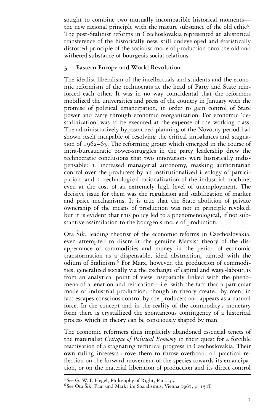sought to combine two mutually incompatible historical moments the new rational principle with the mature substance of the old ethic<sup>5</sup>. The post-Stalinist reforms in Czechoslovakia represented an ahistorical transference of the historically new, still undeveloped and étatistically distorted principle of the socialist mode of production onto the old and withered substance of bourgeois social relations.

# **3. Eastern Europe and World Revolution**

The idealist liberalism of the intellectuals and students and the economic reformism of the technocrats at the head of Party and State reinforced each other. It was in no way coincidental that the reformers mobilized the universities and press of the country in January with the promise of political emancipation, in order to gain control of State power and carry through economic reorganization. For economic 'destalinization' was to be executed at the expense of the working class. The administratively hypostatized planning of the Novotny period had shown itself incapable of resolving the critical imbalances and stagnation of 1962–65. The reforming group which emerged in the course of intra-bureaucratic power-struggles in the party leadership drew the technocratic conclusions that two innovations were historically indispensable: 1. increased managerial autonomy, masking authoritarian control over the producers by an institutionalized ideology of participation, and 2. technological rationalization of the industrial machine, even at the cost of an extremely high level of unemployment. The decisive issue for them was the regulation and stabilization of market and price mechanisms. It is true that the State abolition of private ownership of the means of production was not in principle revoked; but it is evident that this policy led to a phenomenological, if not substantive assimilation to the bourgeois mode of production.

Ota Šik, leading theorist of the economic reforms in Czechoslovakia, even attempted to discredit the genuine Marxist theory of the disappearance of commodities and money in the period of economic transformation as a dispensable, ideal abstraction, tainted with the odium of Stalinism.<sup>6</sup> For Marx, however, the production of commodities, generalized socially via the exchange of capital and wage-labour, is from an analytical point of view inseparably linked with the phenomena of alienation and reification—i.e. with the fact that a particular mode of industrial production, though in theory created by men, in fact escapes conscious control by the producers and appears as a natural force. In the concept and in the reality of the commodity's monetary form there is crystallized the spontaneous contingency of a historical process which in theory can be consciously shaped by man.

The economic reformers thus implicitly abandoned essential tenets of the materialist *Critique of Political Economy* in their quest for a forcible reactivation of a stagnating technical progress in Czechoslovakia. Their own ruling interests drove them to throw overboard all practical reflection on the forward movement of the species towards its emancipation, or on the material liberation of production and its direct control

<sup>&</sup>lt;sup>5</sup> See G. W. F. Hegel, Philosophy of Right, Para. 33.<br><sup>6</sup> See Ota Šik, Plan und Markt im Sozialismus, Vienna 1967, p. 15 ff.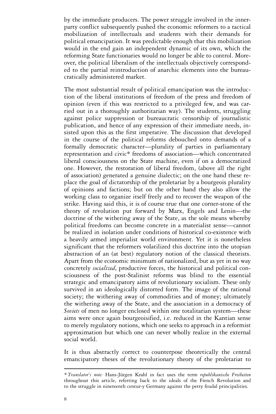by the immediate producers. The power struggle involved in the innerparty conflict subsequently pushed the economic reformers to a tactical mobilization of intellectuals and students with their demands for political emancipation. It was predictable enough that this mobilization would in the end gain an independent dynamic of its own, which the reforming State functionaries would no longer be able to control. Moreover, the political liberalism of the intellectuals objectively corresponded to the partial reintroduction of anarchic elements into the bureaucratically administered market.

The most substantial result of political emancipation was the introduction of the liberal institutions of freedom of the press and freedom of opinion (even if this was restricted to a privileged few, and was carried out in a thoroughly authoritarian way). The students, struggling against police suppression or bureaucratic censorship of journalistic publication, and hence of any expression of their immediate needs, insisted upon this as the first imperative. The discussion that developed in the course of the political reforms debouched onto demands of a formally democratic character—plurality of parties in parliamentary representation and civic\* freedoms of association—which concentrated liberal consciousness on the State machine, even if on a democratized one. However, the restoration of liberal freedom, (above all the right of association) generated a genuine dialectic; on the one hand these replace the goal of dictatorship of the proletariat by a bourgeois plurality of opinions and factions; but on the other hand they also allow the working class to organize itself freely and to recover the weapon of the strike. Having said this, it is of course true that one corner-stone of the theory of revolution put forward by Marx, Engels and Lenin—the doctrine of the withering away of the State, as the sole means whereby political freedoms can become concrete in a materialist sense—cannot be realized in isolation under conditions of historical co-existence with a heavily armed imperialist world environment. Yet it is nonetheless significant that the reformers volatilized this doctrine into the utopian abstraction of an (at best) regulatory notion of the classical theorists. Apart from the economic minimum of nationalized, but as yet in no way concretely *socialized*, productive forces, the historical and political consciousness of the post-Stalinist reforms was blind to the essential strategic and emancipatory aims of revolutionary socialism. These only survived in an ideologically distorted form. The image of the rational society; the withering away of commodities and of money; ultimately the withering away of the State, and the association in a democracy of *Soviets* of men no longer enclosed within one totalitarian system—these aims were once again bourgeoisified, i.e. reduced in the Kantian sense to merely regulatory notions, which one seeks to approach in a reformist approximation but which one can never wholly realize in the external social world.

It is thus abstractly correct to counterpose theoretically the central emancipatory theses of the revolutionary theory of the proletariat to

*<sup>\*</sup> Translator*'*s note:* Hans-Jürgen Krahl in fact uses the term *republikanische Freiheiten* throughout this article, referring back to the ideals of the French Revolution and to the struggle in nineteenth centur-y Germany against the petty feudal principalities.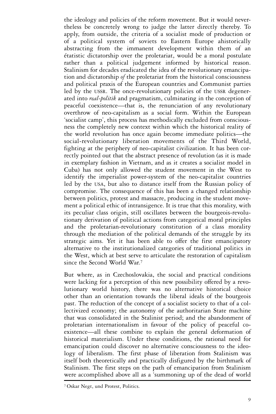the ideology and policies of the reform movement. But it would nevertheless be concretely wrong to judge the latter directly thereby. To apply, from outside, the criteria of a socialist mode of production or of a political system of soviets to Eastern Europe ahistorically abstracting from the immanent development within them of an étatistic dictatorship over the proletariat, would be a moral postulate rather than a political judgement informed by historical reason. Stalinism for decades eradicated the idea of the revolutionary emancipation and dictatorship *of* the proletariat from the historical consciousness and political praxis of the European countries and Communist parties led by the USSR. The once-revolutionary policies of the USSR degenerated into *real-politik* and pragmatism, culminating in the conception of peaceful coexistence—that is, the renunciation of any revolutionary overthrow of neo-capitalism as a social form. Within the European 'socialist camp', this process has methodically excluded from consciousness the completely new context within which the historical reality of the world revolution has once again become immediate politics—the social-revolutionary liberation movements of the Third World, fighting at the periphery of neo-capitalist civilization. It has been correctly pointed out that the abstract presence of revolution (as it is made in exemplary fashion in Vietnam, and as it creates a socialist model in Cuba) has not only allowed the student movement in the West to identify the imperialist power-system of the neo-capitalist countries led by the USA, but also to distance itself from the Russian policy of compromise. The consequence of this has been a changed relationship between politics, protest and massacre, producing in the student movement a political ethic of intransigence. It is true that this morality, with its peculiar class origin, still oscillates between the bourgeois-revolutionary derivation of political actions from categorical moral principles and the proletarian-revolutionary constitution of a class morality through the mediation of the political demands of the struggle by its strategic aims. Yet it has been able to offer the first emancipatory alternative to the institutionalized categories of traditional politics in the West, which at best serve to articulate the restoration of capitalism since the Second World War.<sup>7</sup>

But where, as in Czechoslovakia, the social and practical conditions were lacking for a perception of this new possibility offered by a revolutionary world history, there was no alternative historical choice other than an orientation towards the liberal ideals of the bourgeois past. The reduction of the concept of a socialist society to that of a collectivized economy; the autonomy of the authoritarian State machine that was consolidated in the Stalinist period; and the abandonment of proletarian internationalism in favour of the policy of peaceful coexistence—all these combine to explain the general deformation of historical materialism. Under these conditions, the rational need for emancipation could discover no alternative consciousness to the ideology of liberalism. The first phase of liberation from Stalinism was itself both theoretically and practically disfigured by the birthmark of Stalinism. The first steps on the path of emancipation from Stalinism were accomplished above all as a 'summoning up of the dead of world

<sup>7</sup> Oskar Negt, und Protest, Politics.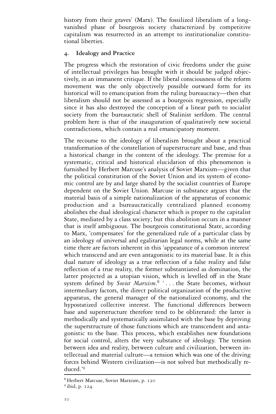history from their graves' (Marx). The fossilized liberalism of a longvanished phase of bourgeois society characterized by competitive capitalism was resurrected in an attempt to institutionalize constitutional liberties.

### **4. Idealogy and Practice**

The progress which the restoration of civic freedoms under the guise of intellectual privileges has brought with it should be judged objectively, in an immanent critique. If the liberal consciousness of the reform movement was the only objectively possible outward form for its historical will to emancipation from the ruling bureaucracy—then that liberalism should not be assessed as a bourgeois regression, especially since it has also destroyed the conception of a linear path to socialist society from the bureaucratic shell of Stalinist serfdom. The central problem here is that of the inauguration of qualitatively new societal contradictions, which contain a real emancipatory moment.

The recourse to the ideology of liberalism brought about a practical transformation of the constellation of superstructure and base, and thus a historical change in the content of the ideology. The premise for a systematic, critical and historical elucidation of this phenomenon is furnished by Herbert Marcuse's analysis of Soviet Marxism—given that the political constitution of the Soviet Union and its system of economic control are by and large shared by the socialist countries of Europe dependent on the Soviet Union. Marcuse in substance argues that the material basis of a simple nationalization of the apparatus of economic production and a bureaucratically centralized planned economy abolishes the dual ideological character which is proper to the capitalist State, mediated by a class society; but this abolition occurs in a manner that is itself ambiguous. The bourgeois constitutional State, according to Marx, 'compensates' for the generalized rule of a particular class by an ideology of universal and egalitarian legal norms, while at the same time there are factors inherent in this 'appearance of a common interest' which transcend and are even antagonistic to its material base. It is this dual nature of ideology as a true reflection of a false reality and false reflection of a true reality, the former substantiated as domination, the latter projected as a utopian vision, which is levelled off in the State system defined by *Soviet Marxism*. <sup>8</sup> ' . . . the State becomes, without intermediary factors, the direct political organization of the productive apparatus, the general manager of the nationalized economy, and the hypostatized collective interest. The functional differences between base and superstructure therefore tend to be obliterated: the latter is methodically and systematically assimilated with the base by depriving the superstructure of those functions which are transcendent and antagonistic to the base. This process, which establishes new foundations for social control, alters the very substance of ideology. The tension between idea and reality, between culture and civilization, between intellectual and material culture—a tension which was one of the driving forces behind Western civilization—is not solved but methodically reduced.'<sup>9</sup>

<sup>8</sup> Herbert Marcuse, Soviet Marxism, p. <sup>120</sup> <sup>9</sup> ibid, p. 124.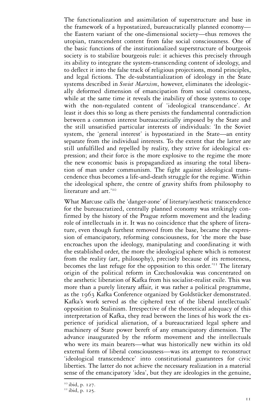The functionalization and assimilation of superstructure and base in the framework of a hypostatized, bureaucratically planned economy the Eastern variant of the one-dimensional society—thus removes the utopian, transcendent content from false social consciousness. One of the basic functions of the institutionalized superstructure of bourgeois society is to stabilize bourgeois rule: it achieves this precisely through its ability to integrate the system-transcending content of ideology, and to deflect it into the false track of religious projections, moral principles, and legal fictions. The de-substantialization of ideology in the State systems described in *Soviet Marxism*, however, eliminates the ideologically deformed dimension of emancipation from social consciousness, while at the same time it reveals the inability of those systems to cope with the non-regulated content of 'ideological transcendance'. At least it does this so long as there persists the fundamental contradiction between a common interest bureaucratically imposed by the State and the still unsatisfied particular interests of individuals: 'In the Soviet system, the 'general interest' is hypostatized in the State—an entity separate from the individual interests. To the extent that the latter are still unfulfilled and repelled by reality, they strive for ideological expression; and their force is the more explosive to the regime the more the new economic basis is propagandized as insuring the total liberation of man under communism. The fight against ideological transcendence thus becomes a life-and-death struggle for the regime. Within the ideological sphere, the centre of gravity shifts from philosophy to literature and art.'<sup>10</sup>

What Marcuse calls the 'danger-zone' of literary/aesthetic transcendence for the bureaucratized, centrally planned economy was strikingly confirmed by the history of the Prague reform movement and the leading role of intellectuals in it. It was no coincidence that the sphere of literature, even though furthest removed from the base, became the expression of emancipatory, reforming consciousness, for 'the more the base encroaches upon the ideology, manipulating and coordinating it with the established order, the more the ideological sphere which is remotest from the reality (art, philosophy), precisely because of its remoteness, becomes the last refuge for the opposition to this order.'<sup>11</sup> The literary origin of the political reform in Czechoslovakia was concentrated on the aesthetic liberation of Kafka from his socialist-realist exile. This was more than a purely literary affair, it was rather a political programme, as the 1963 Kafka Conference organized by Goldstücker demonstrated. Kafka's work served as the ciphered text of the liberal intellectuals' opposition to Stalinism. Irrespective of the theoretical adequacy of this interpretation of Kafka, they read between the lines of his work the experience of juridical alienation, of a bureaucratized legal sphere and machinery of State power bereft of any emancipatory dimension. The advance inaugurated by the reform movement and the intellectuals who were its main bearers—what was historically new within its old external form of liberal consciousness—was its attempt to reconstruct 'ideological transcendence' into constitutional guarantees for civic liberties. The latter do not achieve the necessary realization in a material sense of the emancipatory 'idea', but they are ideologies in the genuine,

<sup>&</sup>lt;sup>10</sup> ibid, p. 127.<br><sup>11</sup> ibid, p. 125.